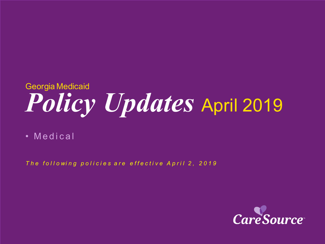# *Policy Updates* April 2019 Georgia Medicaid

• Medical

*The following policies are effective April 2, 2019* 

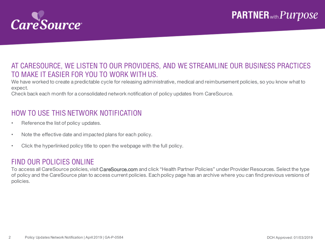

### AT CARESOURCE, WE LISTEN TO OUR PROVIDERS, AND WE STREAMLINE OUR BUSINESS PRACTICES TO MAKE IT EASIER FOR YOU TO WORK WITH US.

We have worked to create a predictable cycle for releasing administrative, medical and reimbursement policies, so you know what to expect.

Check back each month for a consolidated network notification of policy updates from CareSource.

### HOW TO USE THIS NETWORK NOTIFICATION

- Reference the list of policy updates.
- Note the effective date and impacted plans for each policy.
- Click the hyperlinked policy title to open the webpage with the full policy.

#### FIND OUR POLICIES ONLINE

To access all CareSource policies, visit CareSource.com and click "Health Partner Policies" under Provider Resources. Select the type of policy and the CareSource plan to access current policies. Each policy page has an archive where you can find previous versions of policies.